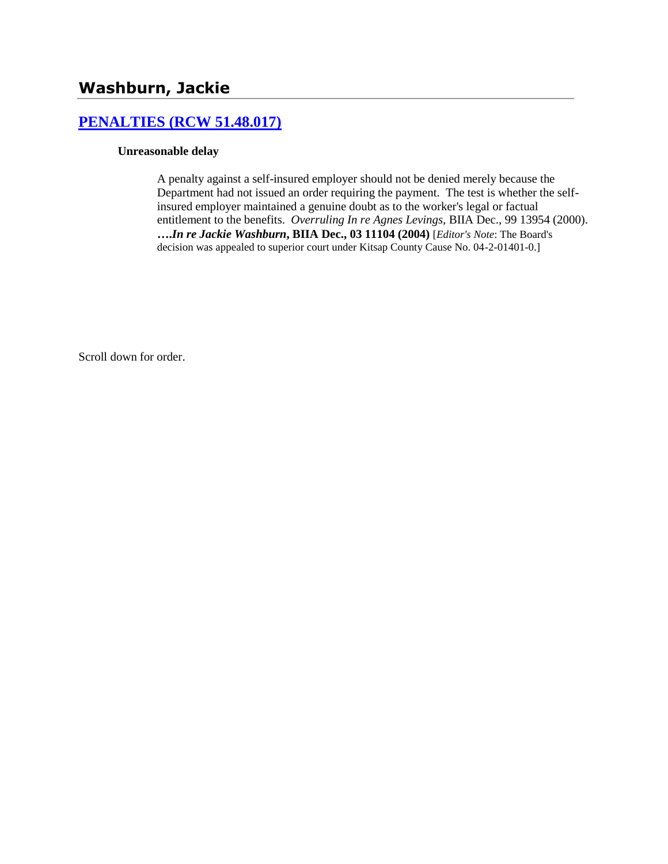# **[PENALTIES \(RCW 51.48.017\)](http://www.biia.wa.gov/SDSubjectIndex.html#PENALTIES)**

#### **Unreasonable delay**

A penalty against a self-insured employer should not be denied merely because the Department had not issued an order requiring the payment. The test is whether the selfinsured employer maintained a genuine doubt as to the worker's legal or factual entitlement to the benefits. *Overruling In re Agnes Levings,* BIIA Dec., 99 13954 (2000). **….***In re Jackie Washburn***, BIIA Dec., 03 11104 (2004)** [*Editor's Note*: The Board's decision was appealed to superior court under Kitsap County Cause No. 04-2-01401-0.]

Scroll down for order.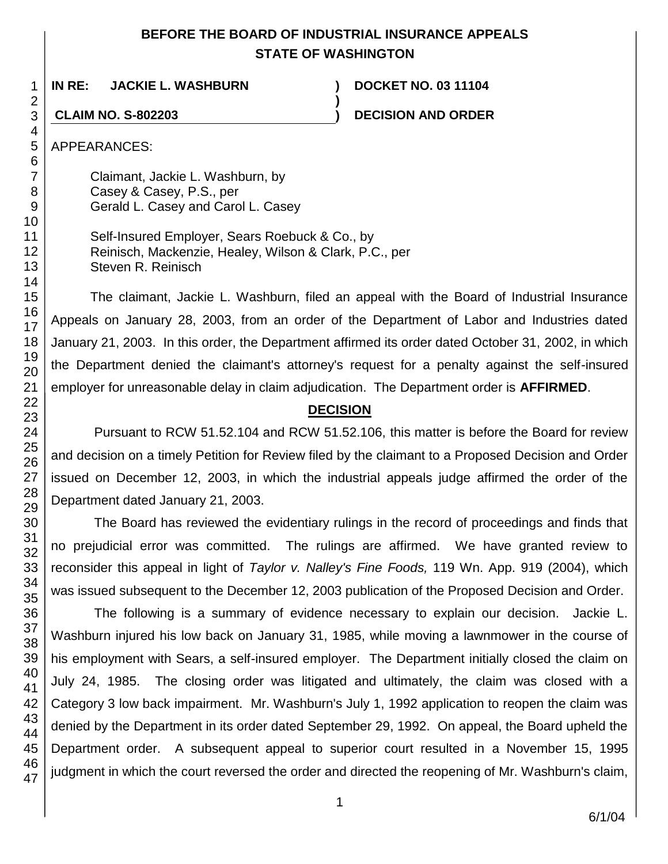# **BEFORE THE BOARD OF INDUSTRIAL INSURANCE APPEALS STATE OF WASHINGTON**

**)**

**IN RE: JACKIE L. WASHBURN ) DOCKET NO. 03 11104**

**CLAIM NO. S-802203 ) DECISION AND ORDER**

APPEARANCES:

Claimant, Jackie L. Washburn, by Casey & Casey, P.S., per Gerald L. Casey and Carol L. Casey

Self-Insured Employer, Sears Roebuck & Co., by Reinisch, Mackenzie, Healey, Wilson & Clark, P.C., per Steven R. Reinisch

The claimant, Jackie L. Washburn, filed an appeal with the Board of Industrial Insurance Appeals on January 28, 2003, from an order of the Department of Labor and Industries dated January 21, 2003. In this order, the Department affirmed its order dated October 31, 2002, in which the Department denied the claimant's attorney's request for a penalty against the self-insured employer for unreasonable delay in claim adjudication. The Department order is **AFFIRMED**.

# **DECISION**

Pursuant to RCW 51.52.104 and RCW 51.52.106, this matter is before the Board for review and decision on a timely Petition for Review filed by the claimant to a Proposed Decision and Order issued on December 12, 2003, in which the industrial appeals judge affirmed the order of the Department dated January 21, 2003.

The Board has reviewed the evidentiary rulings in the record of proceedings and finds that no prejudicial error was committed. The rulings are affirmed. We have granted review to reconsider this appeal in light of *Taylor v. Nalley's Fine Foods,* 119 Wn. App. 919 (2004), which was issued subsequent to the December 12, 2003 publication of the Proposed Decision and Order.

The following is a summary of evidence necessary to explain our decision. Jackie L. Washburn injured his low back on January 31, 1985, while moving a lawnmower in the course of his employment with Sears, a self-insured employer. The Department initially closed the claim on July 24, 1985. The closing order was litigated and ultimately, the claim was closed with a Category 3 low back impairment. Mr. Washburn's July 1, 1992 application to reopen the claim was denied by the Department in its order dated September 29, 1992. On appeal, the Board upheld the Department order. A subsequent appeal to superior court resulted in a November 15, 1995 judgment in which the court reversed the order and directed the reopening of Mr. Washburn's claim,

47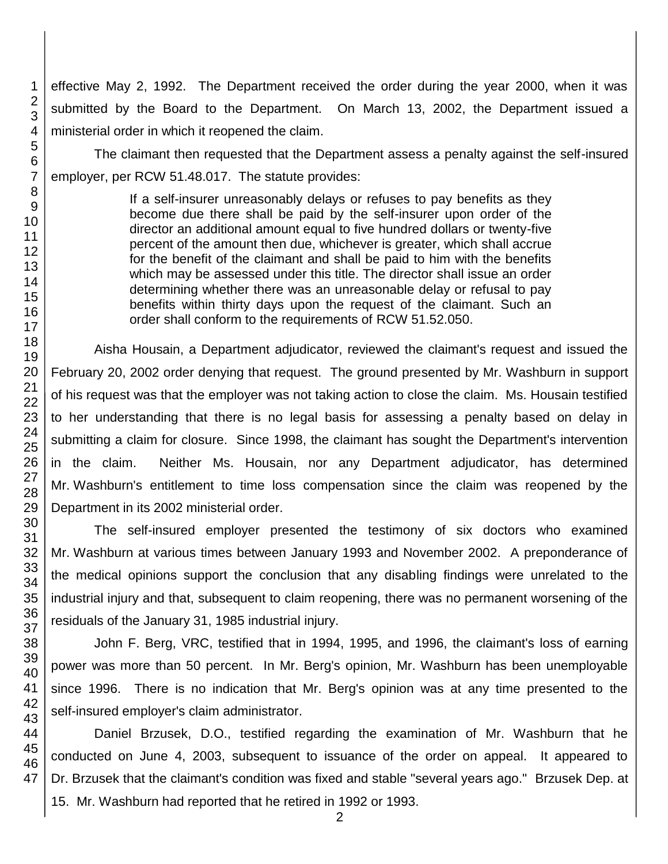effective May 2, 1992. The Department received the order during the year 2000, when it was submitted by the Board to the Department. On March 13, 2002, the Department issued a ministerial order in which it reopened the claim.

The claimant then requested that the Department assess a penalty against the self-insured employer, per RCW 51.48.017. The statute provides:

> If a self-insurer unreasonably delays or refuses to pay benefits as they become due there shall be paid by the self-insurer upon order of the director an additional amount equal to five hundred dollars or twenty-five percent of the amount then due, whichever is greater, which shall accrue for the benefit of the claimant and shall be paid to him with the benefits which may be assessed under this title. The director shall issue an order determining whether there was an unreasonable delay or refusal to pay benefits within thirty days upon the request of the claimant. Such an order shall conform to the requirements of RCW 51.52.050.

Aisha Housain, a Department adjudicator, reviewed the claimant's request and issued the February 20, 2002 order denying that request. The ground presented by Mr. Washburn in support of his request was that the employer was not taking action to close the claim. Ms. Housain testified to her understanding that there is no legal basis for assessing a penalty based on delay in submitting a claim for closure. Since 1998, the claimant has sought the Department's intervention in the claim. Neither Ms. Housain, nor any Department adjudicator, has determined Mr. Washburn's entitlement to time loss compensation since the claim was reopened by the Department in its 2002 ministerial order.

The self-insured employer presented the testimony of six doctors who examined Mr. Washburn at various times between January 1993 and November 2002. A preponderance of the medical opinions support the conclusion that any disabling findings were unrelated to the industrial injury and that, subsequent to claim reopening, there was no permanent worsening of the residuals of the January 31, 1985 industrial injury.

John F. Berg, VRC, testified that in 1994, 1995, and 1996, the claimant's loss of earning power was more than 50 percent. In Mr. Berg's opinion, Mr. Washburn has been unemployable since 1996. There is no indication that Mr. Berg's opinion was at any time presented to the self-insured employer's claim administrator.

Daniel Brzusek, D.O., testified regarding the examination of Mr. Washburn that he conducted on June 4, 2003, subsequent to issuance of the order on appeal. It appeared to Dr. Brzusek that the claimant's condition was fixed and stable "several years ago." Brzusek Dep. at

15. Mr. Washburn had reported that he retired in 1992 or 1993.

47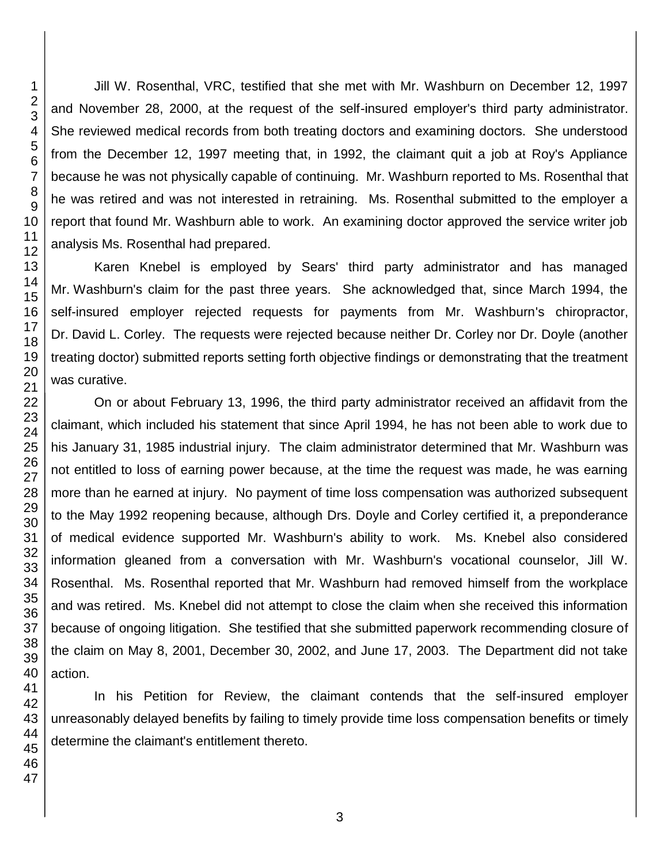Jill W. Rosenthal, VRC, testified that she met with Mr. Washburn on December 12, 1997 and November 28, 2000, at the request of the self-insured employer's third party administrator. She reviewed medical records from both treating doctors and examining doctors. She understood from the December 12, 1997 meeting that, in 1992, the claimant quit a job at Roy's Appliance because he was not physically capable of continuing. Mr. Washburn reported to Ms. Rosenthal that he was retired and was not interested in retraining. Ms. Rosenthal submitted to the employer a report that found Mr. Washburn able to work. An examining doctor approved the service writer job analysis Ms. Rosenthal had prepared.

Karen Knebel is employed by Sears' third party administrator and has managed Mr. Washburn's claim for the past three years. She acknowledged that, since March 1994, the self-insured employer rejected requests for payments from Mr. Washburn's chiropractor, Dr. David L. Corley. The requests were rejected because neither Dr. Corley nor Dr. Doyle (another treating doctor) submitted reports setting forth objective findings or demonstrating that the treatment was curative.

On or about February 13, 1996, the third party administrator received an affidavit from the claimant, which included his statement that since April 1994, he has not been able to work due to his January 31, 1985 industrial injury. The claim administrator determined that Mr. Washburn was not entitled to loss of earning power because, at the time the request was made, he was earning more than he earned at injury. No payment of time loss compensation was authorized subsequent to the May 1992 reopening because, although Drs. Doyle and Corley certified it, a preponderance of medical evidence supported Mr. Washburn's ability to work. Ms. Knebel also considered information gleaned from a conversation with Mr. Washburn's vocational counselor, Jill W. Rosenthal. Ms. Rosenthal reported that Mr. Washburn had removed himself from the workplace and was retired. Ms. Knebel did not attempt to close the claim when she received this information because of ongoing litigation. She testified that she submitted paperwork recommending closure of the claim on May 8, 2001, December 30, 2002, and June 17, 2003. The Department did not take action.

In his Petition for Review, the claimant contends that the self-insured employer unreasonably delayed benefits by failing to timely provide time loss compensation benefits or timely determine the claimant's entitlement thereto.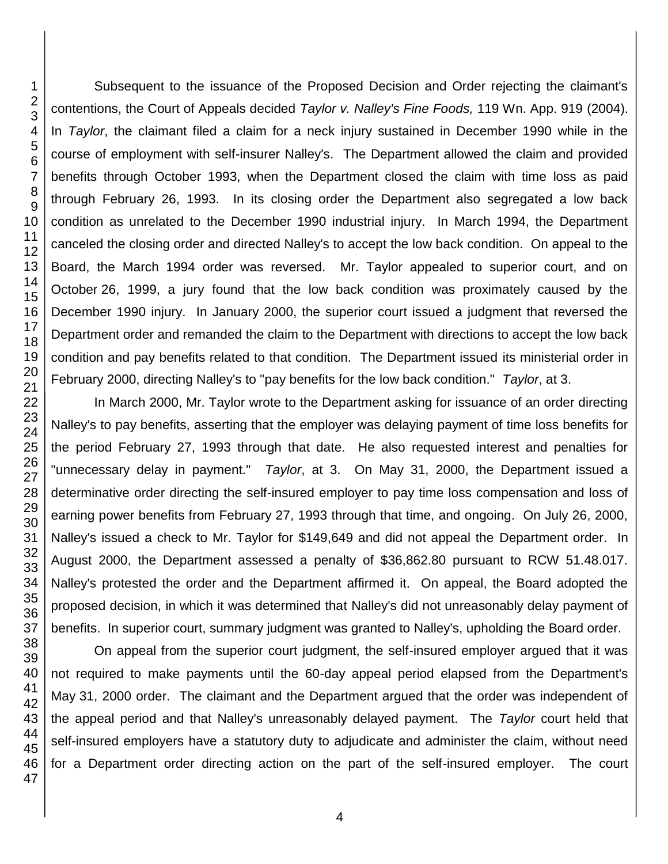Subsequent to the issuance of the Proposed Decision and Order rejecting the claimant's contentions, the Court of Appeals decided *Taylor v. Nalley's Fine Foods,* 119 Wn. App. 919 (2004). In *Taylor*, the claimant filed a claim for a neck injury sustained in December 1990 while in the course of employment with self-insurer Nalley's. The Department allowed the claim and provided benefits through October 1993, when the Department closed the claim with time loss as paid through February 26, 1993. In its closing order the Department also segregated a low back condition as unrelated to the December 1990 industrial injury. In March 1994, the Department canceled the closing order and directed Nalley's to accept the low back condition. On appeal to the Board, the March 1994 order was reversed. Mr. Taylor appealed to superior court, and on October 26, 1999, a jury found that the low back condition was proximately caused by the December 1990 injury. In January 2000, the superior court issued a judgment that reversed the Department order and remanded the claim to the Department with directions to accept the low back condition and pay benefits related to that condition. The Department issued its ministerial order in February 2000, directing Nalley's to "pay benefits for the low back condition." *Taylor*, at 3.

In March 2000, Mr. Taylor wrote to the Department asking for issuance of an order directing Nalley's to pay benefits, asserting that the employer was delaying payment of time loss benefits for the period February 27, 1993 through that date. He also requested interest and penalties for "unnecessary delay in payment." *Taylor*, at 3. On May 31, 2000, the Department issued a determinative order directing the self-insured employer to pay time loss compensation and loss of earning power benefits from February 27, 1993 through that time, and ongoing. On July 26, 2000, Nalley's issued a check to Mr. Taylor for \$149,649 and did not appeal the Department order. In August 2000, the Department assessed a penalty of \$36,862.80 pursuant to RCW 51.48.017. Nalley's protested the order and the Department affirmed it. On appeal, the Board adopted the proposed decision, in which it was determined that Nalley's did not unreasonably delay payment of benefits. In superior court, summary judgment was granted to Nalley's, upholding the Board order.

On appeal from the superior court judgment, the self-insured employer argued that it was not required to make payments until the 60-day appeal period elapsed from the Department's May 31, 2000 order. The claimant and the Department argued that the order was independent of the appeal period and that Nalley's unreasonably delayed payment. The *Taylor* court held that self-insured employers have a statutory duty to adjudicate and administer the claim, without need for a Department order directing action on the part of the self-insured employer. The court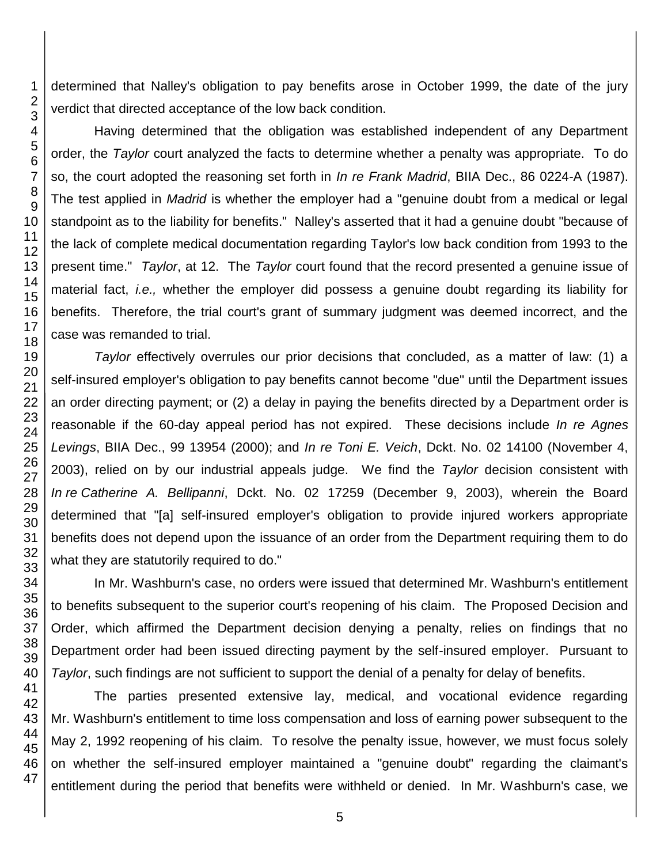determined that Nalley's obligation to pay benefits arose in October 1999, the date of the jury verdict that directed acceptance of the low back condition.

Having determined that the obligation was established independent of any Department order, the *Taylor* court analyzed the facts to determine whether a penalty was appropriate. To do so, the court adopted the reasoning set forth in *In re Frank Madrid*, BIIA Dec., 86 0224-A (1987). The test applied in *Madrid* is whether the employer had a "genuine doubt from a medical or legal standpoint as to the liability for benefits." Nalley's asserted that it had a genuine doubt "because of the lack of complete medical documentation regarding Taylor's low back condition from 1993 to the present time." *Taylor*, at 12. The *Taylor* court found that the record presented a genuine issue of material fact, *i.e.,* whether the employer did possess a genuine doubt regarding its liability for benefits. Therefore, the trial court's grant of summary judgment was deemed incorrect, and the case was remanded to trial.

*Taylor* effectively overrules our prior decisions that concluded, as a matter of law: (1) a self-insured employer's obligation to pay benefits cannot become "due" until the Department issues an order directing payment; or (2) a delay in paying the benefits directed by a Department order is reasonable if the 60-day appeal period has not expired. These decisions include *In re Agnes Levings*, BIIA Dec., 99 13954 (2000); and *In re Toni E. Veich*, Dckt. No. 02 14100 (November 4, 2003), relied on by our industrial appeals judge. We find the *Taylor* decision consistent with *In re Catherine A. Bellipanni*, Dckt. No. 02 17259 (December 9, 2003), wherein the Board determined that "[a] self-insured employer's obligation to provide injured workers appropriate benefits does not depend upon the issuance of an order from the Department requiring them to do what they are statutorily required to do."

In Mr. Washburn's case, no orders were issued that determined Mr. Washburn's entitlement to benefits subsequent to the superior court's reopening of his claim. The Proposed Decision and Order, which affirmed the Department decision denying a penalty, relies on findings that no Department order had been issued directing payment by the self-insured employer. Pursuant to *Taylor*, such findings are not sufficient to support the denial of a penalty for delay of benefits.

The parties presented extensive lay, medical, and vocational evidence regarding Mr. Washburn's entitlement to time loss compensation and loss of earning power subsequent to the May 2, 1992 reopening of his claim. To resolve the penalty issue, however, we must focus solely on whether the self-insured employer maintained a "genuine doubt" regarding the claimant's entitlement during the period that benefits were withheld or denied. In Mr. Washburn's case, we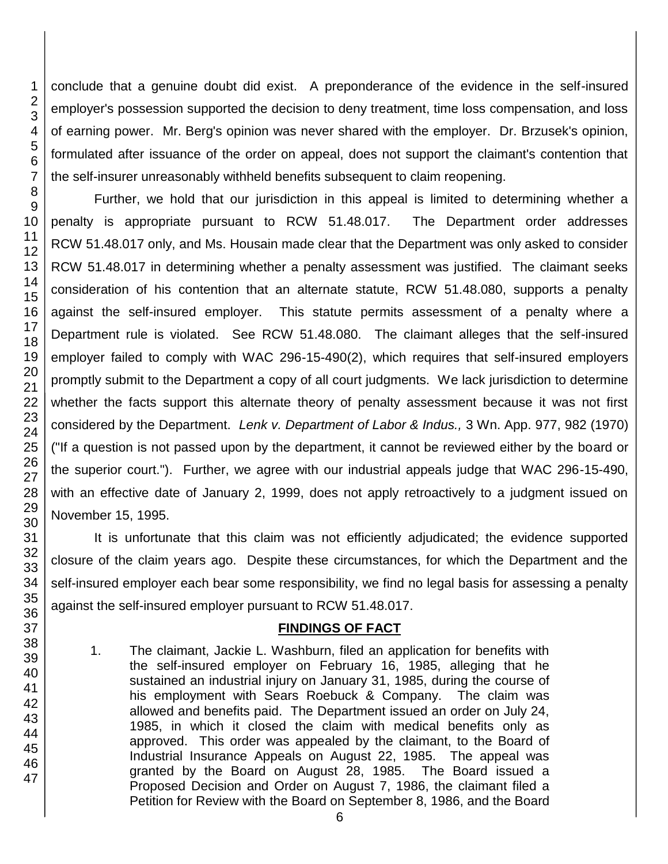1 2 3 4 5 6 7 8 9 10 11 12 13 14 15 16 17 18 19 20 conclude that a genuine doubt did exist. A preponderance of the evidence in the self-insured employer's possession supported the decision to deny treatment, time loss compensation, and loss of earning power. Mr. Berg's opinion was never shared with the employer. Dr. Brzusek's opinion, formulated after issuance of the order on appeal, does not support the claimant's contention that the self-insurer unreasonably withheld benefits subsequent to claim reopening. Further, we hold that our jurisdiction in this appeal is limited to determining whether a penalty is appropriate pursuant to RCW 51.48.017. The Department order addresses RCW 51.48.017 only, and Ms. Housain made clear that the Department was only asked to consider RCW 51.48.017 in determining whether a penalty assessment was justified. The claimant seeks consideration of his contention that an alternate statute, RCW 51.48.080, supports a penalty against the self-insured employer. This statute permits assessment of a penalty where a Department rule is violated. See RCW 51.48.080. The claimant alleges that the self-insured

employer failed to comply with WAC 296-15-490(2), which requires that self-insured employers promptly submit to the Department a copy of all court judgments. We lack jurisdiction to determine whether the facts support this alternate theory of penalty assessment because it was not first considered by the Department. *[Lenk v. Department of Labor & Indus.,](http://www.lexis.com/research/buttonTFLink?_m=e353ee6a73fcf0ce2b9c68677668e0f4&_xfercite=%3ccite%20cc%3d%22USA%22%3e%3c%21%5bCDATA%5b75%20Wn.%20App.%20657%5d%5d%3e%3c%2fcite%3e&_butType=3&_butStat=2&_butNum=25&_butInline=1&_butinfo=%3ccite%20cc%3d%22USA%22%3e%3c%21%5bCDATA%5b3%20Wn.%20App.%20977%2cat%20982%5d%5d%3e%3c%2fcite%3e&_fmtstr=FULL&docnum=14&_startdoc=11&wchp=dGLbVzz-zSkAB&_md5=f53d8be8d78f3026759b27f091ca87ae)* 3 Wn. App. 977, 982 (1970) ("If a question is not passed upon by the department, it cannot be reviewed either by the board or the superior court."). Further, we agree with our industrial appeals judge that WAC 296-15-490, with an effective date of January 2, 1999, does not apply retroactively to a judgment issued on November 15, 1995.

It is unfortunate that this claim was not efficiently adjudicated; the evidence supported closure of the claim years ago. Despite these circumstances, for which the Department and the self-insured employer each bear some responsibility, we find no legal basis for assessing a penalty against the self-insured employer pursuant to RCW 51.48.017.

## **FINDINGS OF FACT**

1. The claimant, Jackie L. Washburn, filed an application for benefits with the self-insured employer on February 16, 1985, alleging that he sustained an industrial injury on January 31, 1985, during the course of his employment with Sears Roebuck & Company. The claim was allowed and benefits paid. The Department issued an order on July 24, 1985, in which it closed the claim with medical benefits only as approved. This order was appealed by the claimant, to the Board of Industrial Insurance Appeals on August 22, 1985. The appeal was granted by the Board on August 28, 1985. The Board issued a Proposed Decision and Order on August 7, 1986, the claimant filed a Petition for Review with the Board on September 8, 1986, and the Board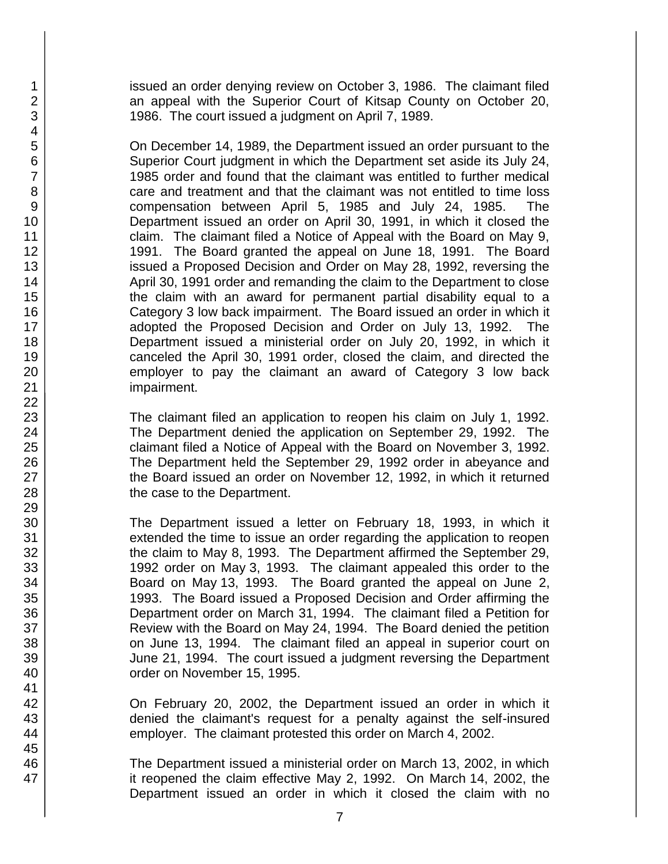issued an order denying review on October 3, 1986. The claimant filed an appeal with the Superior Court of Kitsap County on October 20, 1986. The court issued a judgment on April 7, 1989.

On December 14, 1989, the Department issued an order pursuant to the Superior Court judgment in which the Department set aside its July 24, 1985 order and found that the claimant was entitled to further medical care and treatment and that the claimant was not entitled to time loss compensation between April 5, 1985 and July 24, 1985. The Department issued an order on April 30, 1991, in which it closed the claim. The claimant filed a Notice of Appeal with the Board on May 9, 1991. The Board granted the appeal on June 18, 1991. The Board issued a Proposed Decision and Order on May 28, 1992, reversing the April 30, 1991 order and remanding the claim to the Department to close the claim with an award for permanent partial disability equal to a Category 3 low back impairment. The Board issued an order in which it adopted the Proposed Decision and Order on July 13, 1992. The Department issued a ministerial order on July 20, 1992, in which it canceled the April 30, 1991 order, closed the claim, and directed the employer to pay the claimant an award of Category 3 low back impairment.

The claimant filed an application to reopen his claim on July 1, 1992. The Department denied the application on September 29, 1992. The claimant filed a Notice of Appeal with the Board on November 3, 1992. The Department held the September 29, 1992 order in abeyance and the Board issued an order on November 12, 1992, in which it returned the case to the Department.

The Department issued a letter on February 18, 1993, in which it extended the time to issue an order regarding the application to reopen the claim to May 8, 1993. The Department affirmed the September 29, 1992 order on May 3, 1993. The claimant appealed this order to the Board on May 13, 1993. The Board granted the appeal on June 2, 1993. The Board issued a Proposed Decision and Order affirming the Department order on March 31, 1994. The claimant filed a Petition for Review with the Board on May 24, 1994. The Board denied the petition on June 13, 1994. The claimant filed an appeal in superior court on June 21, 1994. The court issued a judgment reversing the Department order on November 15, 1995.

On February 20, 2002, the Department issued an order in which it denied the claimant's request for a penalty against the self-insured employer. The claimant protested this order on March 4, 2002.

The Department issued a ministerial order on March 13, 2002, in which it reopened the claim effective May 2, 1992. On March 14, 2002, the Department issued an order in which it closed the claim with no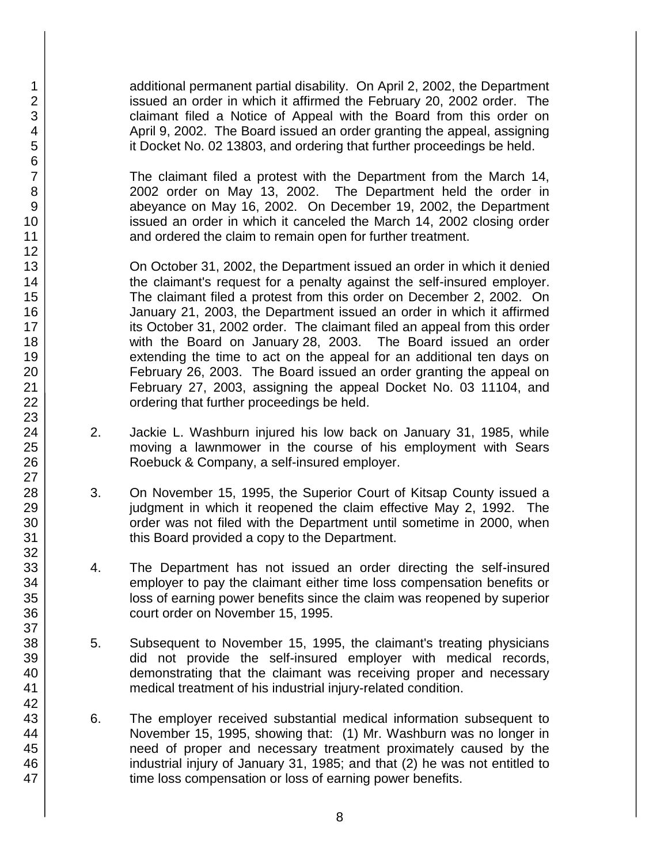additional permanent partial disability. On April 2, 2002, the Department issued an order in which it affirmed the February 20, 2002 order. The claimant filed a Notice of Appeal with the Board from this order on April 9, 2002. The Board issued an order granting the appeal, assigning it Docket No. 02 13803, and ordering that further proceedings be held.

The claimant filed a protest with the Department from the March 14, 2002 order on May 13, 2002. The Department held the order in abeyance on May 16, 2002. On December 19, 2002, the Department issued an order in which it canceled the March 14, 2002 closing order and ordered the claim to remain open for further treatment.

On October 31, 2002, the Department issued an order in which it denied the claimant's request for a penalty against the self-insured employer. The claimant filed a protest from this order on December 2, 2002. On January 21, 2003, the Department issued an order in which it affirmed its October 31, 2002 order. The claimant filed an appeal from this order with the Board on January 28, 2003. The Board issued an order extending the time to act on the appeal for an additional ten days on February 26, 2003. The Board issued an order granting the appeal on February 27, 2003, assigning the appeal Docket No. 03 11104, and ordering that further proceedings be held.

- 2. Jackie L. Washburn injured his low back on January 31, 1985, while moving a lawnmower in the course of his employment with Sears Roebuck & Company, a self-insured employer.
- 3. On November 15, 1995, the Superior Court of Kitsap County issued a judgment in which it reopened the claim effective May 2, 1992. The order was not filed with the Department until sometime in 2000, when this Board provided a copy to the Department.
- 4. The Department has not issued an order directing the self-insured employer to pay the claimant either time loss compensation benefits or loss of earning power benefits since the claim was reopened by superior court order on November 15, 1995.
- 5. Subsequent to November 15, 1995, the claimant's treating physicians did not provide the self-insured employer with medical records, demonstrating that the claimant was receiving proper and necessary medical treatment of his industrial injury-related condition.
- 6. The employer received substantial medical information subsequent to November 15, 1995, showing that: (1) Mr. Washburn was no longer in need of proper and necessary treatment proximately caused by the industrial injury of January 31, 1985; and that (2) he was not entitled to time loss compensation or loss of earning power benefits.